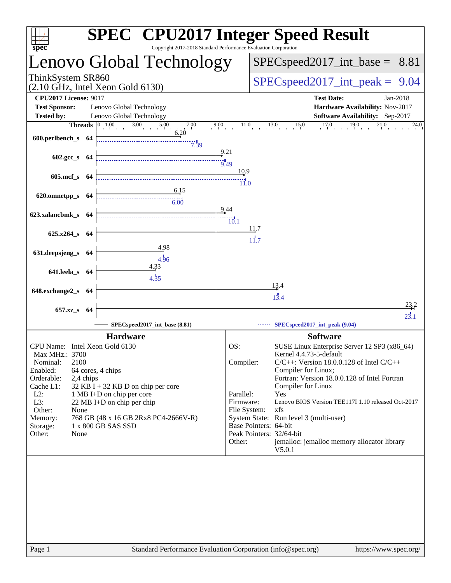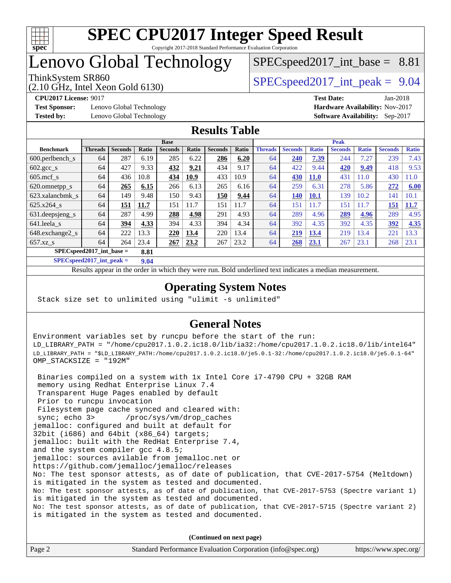

# Lenovo Global Technology

(2.10 GHz, Intel Xeon Gold 6130)

ThinkSystem SR860<br>  $SPECspeed2017$  int\_peak = 9.04

 $SPECspeed2017\_int\_base = 8.81$ 

**[Test Sponsor:](http://www.spec.org/auto/cpu2017/Docs/result-fields.html#TestSponsor)** Lenovo Global Technology **[Hardware Availability:](http://www.spec.org/auto/cpu2017/Docs/result-fields.html#HardwareAvailability)** Nov-2017 **[Tested by:](http://www.spec.org/auto/cpu2017/Docs/result-fields.html#Testedby)** Lenovo Global Technology **[Software Availability:](http://www.spec.org/auto/cpu2017/Docs/result-fields.html#SoftwareAvailability)** Sep-2017

**[CPU2017 License:](http://www.spec.org/auto/cpu2017/Docs/result-fields.html#CPU2017License)** 9017 **[Test Date:](http://www.spec.org/auto/cpu2017/Docs/result-fields.html#TestDate)** Jan-2018

## **[Results Table](http://www.spec.org/auto/cpu2017/Docs/result-fields.html#ResultsTable)**

|                                    | <b>Base</b>    |                |              |                |       |                | <b>Peak</b> |                |                |              |                |              |                |              |
|------------------------------------|----------------|----------------|--------------|----------------|-------|----------------|-------------|----------------|----------------|--------------|----------------|--------------|----------------|--------------|
| <b>Benchmark</b>                   | <b>Threads</b> | <b>Seconds</b> | <b>Ratio</b> | <b>Seconds</b> | Ratio | <b>Seconds</b> | Ratio       | <b>Threads</b> | <b>Seconds</b> | <b>Ratio</b> | <b>Seconds</b> | <b>Ratio</b> | <b>Seconds</b> | <b>Ratio</b> |
| $600.$ perlbench $\mathsf{S}$      | 64             | 287            | 6.19         | 285            | 6.22  | 286            | 6.20        | 64             | 240            | 7.39         | 244            | 7.27         | 239            | 7.43         |
| $602.\text{gcc}\_\text{s}$         | 64             | 427            | 9.33         | 432            | 9.21  | 434            | 9.17        | 64             | 422            | 9.44         | 420            | 9.49         | 418            | 9.53         |
| $605$ .mcf s                       | 64             | 436            | 10.8         | 434            | 10.9  | 433            | 10.9        | 64             | 430            | <b>11.0</b>  | 431            | 11.0         | 430            | 1.0          |
| 620.omnetpp_s                      | 64             | 265            | 6.15         | 266            | 6.13  | 265            | 6.16        | 64             | 259            | 6.31         | 278            | 5.86         | 272            | 6.00         |
| 623.xalancbmk s                    | 64             | 149            | 9.48         | 150            | 9.43  | 150            | 9.44        | 64             | <b>140</b>     | <b>10.1</b>  | 139            | 10.2         | 141            | 10.1         |
| $625.x264$ s                       | 64             | 151            | 11.7         | 151            | 11.7  | 151            | 11.7        | 64             | 151            | 11.7         | 151            | 1.7          | 151            | 11.7         |
| 631.deepsjeng_s                    | 64             | 287            | 4.99         | 288            | 4.98  | 291            | 4.93        | 64             | 289            | 4.96         | 289            | 4.96         | 289            | 4.95         |
| 641.leela s                        | 64             | 394            | 4.33         | 394            | 4.33  | 394            | 4.34        | 64             | 392            | 4.35         | 392            | 4.35         | 392            | 4.35         |
| 648.exchange2_s                    | 64             | 222            | 13.3         | 220            | 13.4  | 220            | 13.4        | 64             | 219            | 13.4         | 219            | 13.4         | 221            | 13.3         |
| $657.xz$ s                         | 64             | 264            | 23.4         | 267            | 23.2  | 267            | 23.2        | 64             | 268            | 23.1         | 267            | 23.1         | 268            | 23.1         |
| $SPECspeed2017$ int base =<br>8.81 |                |                |              |                |       |                |             |                |                |              |                |              |                |              |

**[SPECspeed2017\\_int\\_peak =](http://www.spec.org/auto/cpu2017/Docs/result-fields.html#SPECspeed2017intpeak) 9.04**

Results appear in the [order in which they were run.](http://www.spec.org/auto/cpu2017/Docs/result-fields.html#RunOrder) Bold underlined text [indicates a median measurement](http://www.spec.org/auto/cpu2017/Docs/result-fields.html#Median).

## **[Operating System Notes](http://www.spec.org/auto/cpu2017/Docs/result-fields.html#OperatingSystemNotes)**

Stack size set to unlimited using "ulimit -s unlimited"

## **[General Notes](http://www.spec.org/auto/cpu2017/Docs/result-fields.html#GeneralNotes)**

Environment variables set by runcpu before the start of the run: LD\_LIBRARY\_PATH = "/home/cpu2017.1.0.2.ic18.0/lib/ia32:/home/cpu2017.1.0.2.ic18.0/lib/intel64" LD\_LIBRARY\_PATH = "\$LD\_LIBRARY\_PATH:/home/cpu2017.1.0.2.ic18.0/je5.0.1-32:/home/cpu2017.1.0.2.ic18.0/je5.0.1-64" OMP\_STACKSIZE = "192M"

 Binaries compiled on a system with 1x Intel Core i7-4790 CPU + 32GB RAM memory using Redhat Enterprise Linux 7.4 Transparent Huge Pages enabled by default Prior to runcpu invocation Filesystem page cache synced and cleared with: sync; echo 3> /proc/sys/vm/drop\_caches jemalloc: configured and built at default for 32bit (i686) and 64bit (x86\_64) targets; jemalloc: built with the RedHat Enterprise 7.4, and the system compiler gcc 4.8.5; jemalloc: sources avilable from jemalloc.net or <https://github.com/jemalloc/jemalloc/releases> No: The test sponsor attests, as of date of publication, that CVE-2017-5754 (Meltdown) is mitigated in the system as tested and documented. No: The test sponsor attests, as of date of publication, that CVE-2017-5753 (Spectre variant 1) is mitigated in the system as tested and documented. No: The test sponsor attests, as of date of publication, that CVE-2017-5715 (Spectre variant 2) is mitigated in the system as tested and documented.

**(Continued on next page)**

| Page 2 | Standard Performance Evaluation Corporation (info@spec.org) | https://www.spec.org/ |
|--------|-------------------------------------------------------------|-----------------------|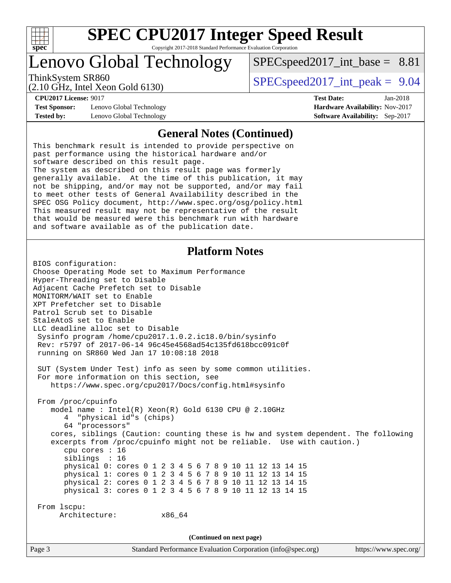

# Lenovo Global Technology

ThinkSystem SR860<br>  $SPEC speed2017$  int\_peak = 9.04  $SPECspeed2017\_int\_base = 8.81$ 

(2.10 GHz, Intel Xeon Gold 6130)

**[CPU2017 License:](http://www.spec.org/auto/cpu2017/Docs/result-fields.html#CPU2017License)** 9017 **[Test Date:](http://www.spec.org/auto/cpu2017/Docs/result-fields.html#TestDate)** Jan-2018

**[Test Sponsor:](http://www.spec.org/auto/cpu2017/Docs/result-fields.html#TestSponsor)** Lenovo Global Technology **[Hardware Availability:](http://www.spec.org/auto/cpu2017/Docs/result-fields.html#HardwareAvailability)** Nov-2017 **[Tested by:](http://www.spec.org/auto/cpu2017/Docs/result-fields.html#Testedby)** Lenovo Global Technology **[Software Availability:](http://www.spec.org/auto/cpu2017/Docs/result-fields.html#SoftwareAvailability)** Sep-2017

# **[General Notes \(Continued\)](http://www.spec.org/auto/cpu2017/Docs/result-fields.html#GeneralNotes)**

This benchmark result is intended to provide perspective on past performance using the historical hardware and/or software described on this result page. The system as described on this result page was formerly generally available. At the time of this publication, it may not be shipping, and/or may not be supported, and/or may fail to meet other tests of General Availability described in the SPEC OSG Policy document, <http://www.spec.org/osg/policy.html> This measured result may not be representative of the result that would be measured were this benchmark run with hardware and software available as of the publication date.

### **[Platform Notes](http://www.spec.org/auto/cpu2017/Docs/result-fields.html#PlatformNotes)**

Page 3 Standard Performance Evaluation Corporation [\(info@spec.org\)](mailto:info@spec.org) <https://www.spec.org/> BIOS configuration: Choose Operating Mode set to Maximum Performance Hyper-Threading set to Disable Adjacent Cache Prefetch set to Disable MONITORM/WAIT set to Enable XPT Prefetcher set to Disable Patrol Scrub set to Disable StaleAtoS set to Enable LLC deadline alloc set to Disable Sysinfo program /home/cpu2017.1.0.2.ic18.0/bin/sysinfo Rev: r5797 of 2017-06-14 96c45e4568ad54c135fd618bcc091c0f running on SR860 Wed Jan 17 10:08:18 2018 SUT (System Under Test) info as seen by some common utilities. For more information on this section, see <https://www.spec.org/cpu2017/Docs/config.html#sysinfo> From /proc/cpuinfo model name : Intel(R) Xeon(R) Gold 6130 CPU @ 2.10GHz 4 "physical id"s (chips) 64 "processors" cores, siblings (Caution: counting these is hw and system dependent. The following excerpts from /proc/cpuinfo might not be reliable. Use with caution.) cpu cores : 16 siblings : 16 physical 0: cores 0 1 2 3 4 5 6 7 8 9 10 11 12 13 14 15 physical 1: cores 0 1 2 3 4 5 6 7 8 9 10 11 12 13 14 15 physical 2: cores 0 1 2 3 4 5 6 7 8 9 10 11 12 13 14 15 physical 3: cores 0 1 2 3 4 5 6 7 8 9 10 11 12 13 14 15 From lscpu: Architecture: x86\_64 **(Continued on next page)**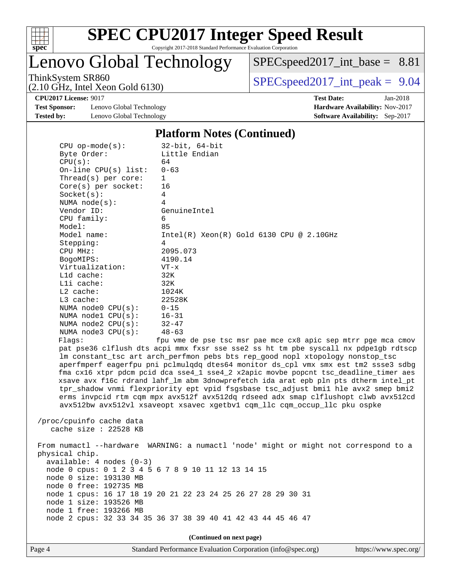

Lenovo Global Technology

 $SPECspeed2017\_int\_base = 8.81$ 

ThinkSystem SR860<br>  $SPEC speed2017$  int\_peak = 9.04

**[Test Sponsor:](http://www.spec.org/auto/cpu2017/Docs/result-fields.html#TestSponsor)** Lenovo Global Technology **[Hardware Availability:](http://www.spec.org/auto/cpu2017/Docs/result-fields.html#HardwareAvailability)** Nov-2017 **[Tested by:](http://www.spec.org/auto/cpu2017/Docs/result-fields.html#Testedby)** Lenovo Global Technology **[Software Availability:](http://www.spec.org/auto/cpu2017/Docs/result-fields.html#SoftwareAvailability)** Sep-2017

(2.10 GHz, Intel Xeon Gold 6130)

**[CPU2017 License:](http://www.spec.org/auto/cpu2017/Docs/result-fields.html#CPU2017License)** 9017 **[Test Date:](http://www.spec.org/auto/cpu2017/Docs/result-fields.html#TestDate)** Jan-2018

### **[Platform Notes \(Continued\)](http://www.spec.org/auto/cpu2017/Docs/result-fields.html#PlatformNotes)**

| $CPU$ op-mode( $s$ ):         | 32-bit, 64-bit                                                                      |
|-------------------------------|-------------------------------------------------------------------------------------|
| Byte Order:                   | Little Endian                                                                       |
| CPU(s):                       | 64                                                                                  |
| On-line CPU $(s)$ list:       | $0 - 63$                                                                            |
| Thread( $s$ ) per core:       | $\mathbf{1}$                                                                        |
| $Core(s)$ per socket:         | 16                                                                                  |
| Socket(s):                    | 4                                                                                   |
| NUMA $node(s)$ :              | 4                                                                                   |
| Vendor ID:                    | GenuineIntel                                                                        |
| CPU family:                   | 6                                                                                   |
| Model:                        | 85                                                                                  |
| Model name:                   | $Intel(R)$ Xeon $(R)$ Gold 6130 CPU @ 2.10GHz                                       |
| Stepping:                     | $\overline{4}$                                                                      |
| CPU MHz:                      | 2095.073                                                                            |
| BogoMIPS:                     | 4190.14                                                                             |
| Virtualization:               | $VT - x$                                                                            |
| L1d cache:                    | 32K                                                                                 |
| $L1i$ cache:                  | 32K                                                                                 |
| $L2$ cache:                   | 1024K                                                                               |
| $L3$ cache:                   | 22528K                                                                              |
| NUMA $node0$ $CPU(s):$ $0-15$ |                                                                                     |
| NUMA nodel CPU(s):            | $16 - 31$                                                                           |
| NUMA $node2$ $CPU(s):$        | $32 - 47$                                                                           |
| NUMA node3 CPU(s):            | $48 - 63$                                                                           |
| Flaqs:                        | fpu vme de pse tsc msr pae mce cx8 apic sep mtrr pge mca cmov                       |
|                               | pat pse36 clflush dts acpi mmx fxsr sse sse2 ss ht tm pbe syscall nx pdpelgb rdtscp |
|                               | Im constant_tsc art arch_perfmon pebs bts rep_good nopl xtopology nonstop_tsc       |
|                               | aperfmperf eagerfpu pni pclmulgdg dtes64 monitor ds cpl vmx smx est tm2 ssse3 sdbg  |

lonstop\_tsc tm2 ssse3 sdbg fma cx16 xtpr pdcm pcid dca sse4\_1 sse4\_2 x2apic movbe popcnt tsc\_deadline\_timer aes xsave avx f16c rdrand lahf\_lm abm 3dnowprefetch ida arat epb pln pts dtherm intel\_pt tpr\_shadow vnmi flexpriority ept vpid fsgsbase tsc\_adjust bmi1 hle avx2 smep bmi2 erms invpcid rtm cqm mpx avx512f avx512dq rdseed adx smap clflushopt clwb avx512cd avx512bw avx512vl xsaveopt xsavec xgetbv1 cqm\_llc cqm\_occup\_llc pku ospke

 /proc/cpuinfo cache data cache size : 22528 KB

 From numactl --hardware WARNING: a numactl 'node' might or might not correspond to a physical chip. available: 4 nodes (0-3) node 0 cpus: 0 1 2 3 4 5 6 7 8 9 10 11 12 13 14 15 node 0 size: 193130 MB node 0 free: 192735 MB node 1 cpus: 16 17 18 19 20 21 22 23 24 25 26 27 28 29 30 31 node 1 size: 193526 MB node 1 free: 193266 MB node 2 cpus: 32 33 34 35 36 37 38 39 40 41 42 43 44 45 46 47

**(Continued on next page)**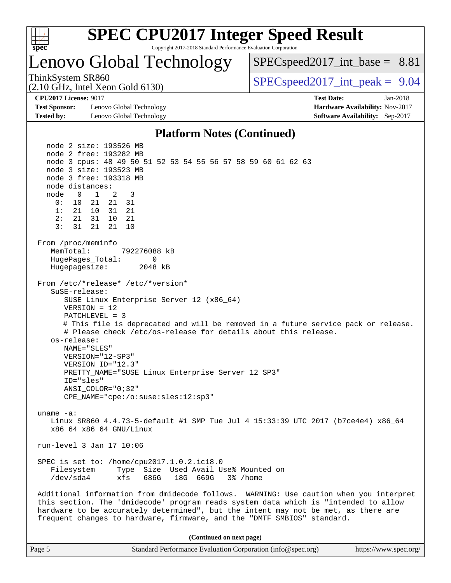

# Lenovo Global Technology

 $SPECspeed2017\_int\_base = 8.81$ 

(2.10 GHz, Intel Xeon Gold 6130)

ThinkSystem SR860<br>  $SPEC speed2017$  int\_peak = 9.04

**[Test Sponsor:](http://www.spec.org/auto/cpu2017/Docs/result-fields.html#TestSponsor)** Lenovo Global Technology **[Hardware Availability:](http://www.spec.org/auto/cpu2017/Docs/result-fields.html#HardwareAvailability)** Nov-2017 **[Tested by:](http://www.spec.org/auto/cpu2017/Docs/result-fields.html#Testedby)** Lenovo Global Technology **[Software Availability:](http://www.spec.org/auto/cpu2017/Docs/result-fields.html#SoftwareAvailability)** Sep-2017

**[CPU2017 License:](http://www.spec.org/auto/cpu2017/Docs/result-fields.html#CPU2017License)** 9017 **[Test Date:](http://www.spec.org/auto/cpu2017/Docs/result-fields.html#TestDate)** Jan-2018

### **[Platform Notes \(Continued\)](http://www.spec.org/auto/cpu2017/Docs/result-fields.html#PlatformNotes)**

 node 2 size: 193526 MB node 2 free: 193282 MB node 3 cpus: 48 49 50 51 52 53 54 55 56 57 58 59 60 61 62 63 node 3 size: 193523 MB node 3 free: 193318 MB node distances: node 0 1 2 3 0: 10 21 21 31 1: 21 10 31 21 2: 21 31 10 21 3: 31 21 21 10 From /proc/meminfo MemTotal: 792276088 kB HugePages\_Total: 0 Hugepagesize: 2048 kB From /etc/\*release\* /etc/\*version\* SuSE-release: SUSE Linux Enterprise Server 12 (x86\_64) VERSION = 12 PATCHLEVEL = 3 # This file is deprecated and will be removed in a future service pack or release. # Please check /etc/os-release for details about this release. os-release: NAME="SLES" VERSION="12-SP3" VERSION\_ID="12.3" PRETTY\_NAME="SUSE Linux Enterprise Server 12 SP3" ID="sles" ANSI\_COLOR="0;32" CPE\_NAME="cpe:/o:suse:sles:12:sp3" uname -a: Linux SR860 4.4.73-5-default #1 SMP Tue Jul 4 15:33:39 UTC 2017 (b7ce4e4) x86\_64 x86\_64 x86\_64 GNU/Linux run-level 3 Jan 17 10:06 SPEC is set to: /home/cpu2017.1.0.2.ic18.0 Filesystem Type Size Used Avail Use% Mounted on /dev/sda4 xfs 686G 18G 669G 3% /home Additional information from dmidecode follows. WARNING: Use caution when you interpret this section. The 'dmidecode' program reads system data which is "intended to allow hardware to be accurately determined", but the intent may not be met, as there are frequent changes to hardware, firmware, and the "DMTF SMBIOS" standard. **(Continued on next page)**

Page 5 Standard Performance Evaluation Corporation [\(info@spec.org\)](mailto:info@spec.org) <https://www.spec.org/>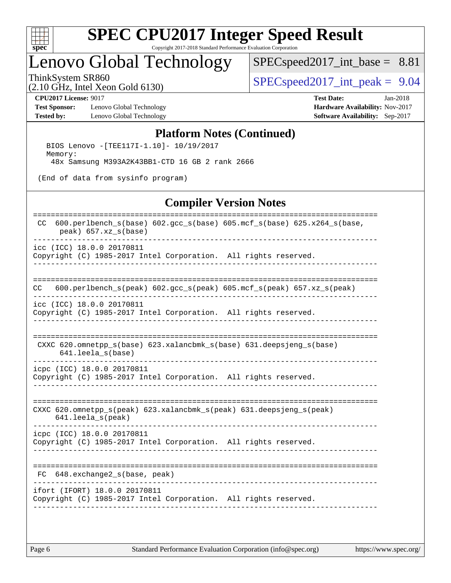

# Lenovo Global Technology

[SPECspeed2017\\_int\\_base =](http://www.spec.org/auto/cpu2017/Docs/result-fields.html#SPECspeed2017intbase) 8.81

(2.10 GHz, Intel Xeon Gold 6130)

ThinkSystem SR860<br>  $SPEC speed2017\_int\_peak = 9.04$ 

[Test Sponsor:](http://www.spec.org/auto/cpu2017/Docs/result-fields.html#TestSponsor) Lenovo Global Technology **[Hardware Availability:](http://www.spec.org/auto/cpu2017/Docs/result-fields.html#HardwareAvailability)** Nov-2017 **[Tested by:](http://www.spec.org/auto/cpu2017/Docs/result-fields.html#Testedby)** Lenovo Global Technology **[Software Availability:](http://www.spec.org/auto/cpu2017/Docs/result-fields.html#SoftwareAvailability)** Sep-2017

**[CPU2017 License:](http://www.spec.org/auto/cpu2017/Docs/result-fields.html#CPU2017License)** 9017 **[Test Date:](http://www.spec.org/auto/cpu2017/Docs/result-fields.html#TestDate)** Jan-2018

### **[Platform Notes \(Continued\)](http://www.spec.org/auto/cpu2017/Docs/result-fields.html#PlatformNotes)**

 BIOS Lenovo -[TEE117I-1.10]- 10/19/2017 Memory: 48x Samsung M393A2K43BB1-CTD 16 GB 2 rank 2666

(End of data from sysinfo program)

### **[Compiler Version Notes](http://www.spec.org/auto/cpu2017/Docs/result-fields.html#CompilerVersionNotes)**

| $600.$ perlbench_s(base) $602.$ gcc_s(base) $605.$ mcf_s(base) $625.$ x264_s(base,<br>CC<br>$peak)$ 657.xz_s(base) |
|--------------------------------------------------------------------------------------------------------------------|
| icc (ICC) 18.0.0 20170811<br>Copyright (C) 1985-2017 Intel Corporation. All rights reserved.                       |
|                                                                                                                    |
| $600.perlbench_s (peak) 602. gcc_s (peak) 605. mcf_s (peak) 657. xz_s (peak)$<br>CC.                               |
| icc (ICC) 18.0.0 20170811<br>Copyright (C) 1985-2017 Intel Corporation. All rights reserved.                       |
| CXXC 620.omnetpp $s(base)$ 623.xalancbmk $s(base)$ 631.deepsjeng $s(base)$<br>641.leela_s(base)                    |
| icpc (ICC) 18.0.0 20170811<br>Copyright (C) 1985-2017 Intel Corporation. All rights reserved.                      |
| CXXC 620.omnetpp_s(peak) 623.xalancbmk_s(peak) 631.deepsjeng_s(peak)<br>$641.$ leela $s$ (peak)                    |
| icpc (ICC) 18.0.0 20170811<br>Copyright (C) 1985-2017 Intel Corporation. All rights reserved.                      |
| FC 648.exchange2_s(base, peak)                                                                                     |
| ifort (IFORT) 18.0.0 20170811<br>Copyright (C) 1985-2017 Intel Corporation. All rights reserved.                   |
|                                                                                                                    |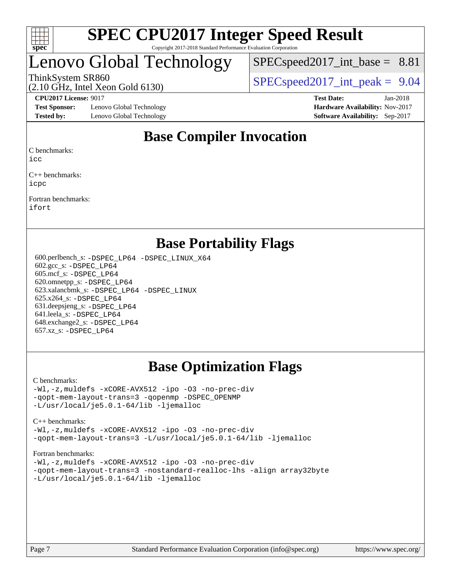

# Lenovo Global Technology

 $SPECspeed2017\_int\_base = 8.81$ 

ThinkSystem SR860<br>  $SPEC speed2017$  int\_peak = 9.04

**[Test Sponsor:](http://www.spec.org/auto/cpu2017/Docs/result-fields.html#TestSponsor)** Lenovo Global Technology **[Hardware Availability:](http://www.spec.org/auto/cpu2017/Docs/result-fields.html#HardwareAvailability)** Nov-2017 **[Tested by:](http://www.spec.org/auto/cpu2017/Docs/result-fields.html#Testedby)** Lenovo Global Technology **[Software Availability:](http://www.spec.org/auto/cpu2017/Docs/result-fields.html#SoftwareAvailability)** Sep-2017

(2.10 GHz, Intel Xeon Gold 6130)

**[CPU2017 License:](http://www.spec.org/auto/cpu2017/Docs/result-fields.html#CPU2017License)** 9017 **[Test Date:](http://www.spec.org/auto/cpu2017/Docs/result-fields.html#TestDate)** Jan-2018

# **[Base Compiler Invocation](http://www.spec.org/auto/cpu2017/Docs/result-fields.html#BaseCompilerInvocation)**

[C benchmarks:](http://www.spec.org/auto/cpu2017/Docs/result-fields.html#Cbenchmarks)

[icc](http://www.spec.org/cpu2017/results/res2018q1/cpu2017-20180122-03012.flags.html#user_CCbase_intel_icc_18.0_66fc1ee009f7361af1fbd72ca7dcefbb700085f36577c54f309893dd4ec40d12360134090235512931783d35fd58c0460139e722d5067c5574d8eaf2b3e37e92)

[C++ benchmarks:](http://www.spec.org/auto/cpu2017/Docs/result-fields.html#CXXbenchmarks) [icpc](http://www.spec.org/cpu2017/results/res2018q1/cpu2017-20180122-03012.flags.html#user_CXXbase_intel_icpc_18.0_c510b6838c7f56d33e37e94d029a35b4a7bccf4766a728ee175e80a419847e808290a9b78be685c44ab727ea267ec2f070ec5dc83b407c0218cded6866a35d07)

[Fortran benchmarks](http://www.spec.org/auto/cpu2017/Docs/result-fields.html#Fortranbenchmarks): [ifort](http://www.spec.org/cpu2017/results/res2018q1/cpu2017-20180122-03012.flags.html#user_FCbase_intel_ifort_18.0_8111460550e3ca792625aed983ce982f94888b8b503583aa7ba2b8303487b4d8a21a13e7191a45c5fd58ff318f48f9492884d4413fa793fd88dd292cad7027ca)

# **[Base Portability Flags](http://www.spec.org/auto/cpu2017/Docs/result-fields.html#BasePortabilityFlags)**

 600.perlbench\_s: [-DSPEC\\_LP64](http://www.spec.org/cpu2017/results/res2018q1/cpu2017-20180122-03012.flags.html#b600.perlbench_s_basePORTABILITY_DSPEC_LP64) [-DSPEC\\_LINUX\\_X64](http://www.spec.org/cpu2017/results/res2018q1/cpu2017-20180122-03012.flags.html#b600.perlbench_s_baseCPORTABILITY_DSPEC_LINUX_X64) 602.gcc\_s: [-DSPEC\\_LP64](http://www.spec.org/cpu2017/results/res2018q1/cpu2017-20180122-03012.flags.html#suite_basePORTABILITY602_gcc_s_DSPEC_LP64) 605.mcf\_s: [-DSPEC\\_LP64](http://www.spec.org/cpu2017/results/res2018q1/cpu2017-20180122-03012.flags.html#suite_basePORTABILITY605_mcf_s_DSPEC_LP64) 620.omnetpp\_s: [-DSPEC\\_LP64](http://www.spec.org/cpu2017/results/res2018q1/cpu2017-20180122-03012.flags.html#suite_basePORTABILITY620_omnetpp_s_DSPEC_LP64) 623.xalancbmk\_s: [-DSPEC\\_LP64](http://www.spec.org/cpu2017/results/res2018q1/cpu2017-20180122-03012.flags.html#suite_basePORTABILITY623_xalancbmk_s_DSPEC_LP64) [-DSPEC\\_LINUX](http://www.spec.org/cpu2017/results/res2018q1/cpu2017-20180122-03012.flags.html#b623.xalancbmk_s_baseCXXPORTABILITY_DSPEC_LINUX) 625.x264\_s: [-DSPEC\\_LP64](http://www.spec.org/cpu2017/results/res2018q1/cpu2017-20180122-03012.flags.html#suite_basePORTABILITY625_x264_s_DSPEC_LP64) 631.deepsjeng\_s: [-DSPEC\\_LP64](http://www.spec.org/cpu2017/results/res2018q1/cpu2017-20180122-03012.flags.html#suite_basePORTABILITY631_deepsjeng_s_DSPEC_LP64) 641.leela\_s: [-DSPEC\\_LP64](http://www.spec.org/cpu2017/results/res2018q1/cpu2017-20180122-03012.flags.html#suite_basePORTABILITY641_leela_s_DSPEC_LP64) 648.exchange2\_s: [-DSPEC\\_LP64](http://www.spec.org/cpu2017/results/res2018q1/cpu2017-20180122-03012.flags.html#suite_basePORTABILITY648_exchange2_s_DSPEC_LP64) 657.xz\_s: [-DSPEC\\_LP64](http://www.spec.org/cpu2017/results/res2018q1/cpu2017-20180122-03012.flags.html#suite_basePORTABILITY657_xz_s_DSPEC_LP64)

# **[Base Optimization Flags](http://www.spec.org/auto/cpu2017/Docs/result-fields.html#BaseOptimizationFlags)**

### [C benchmarks](http://www.spec.org/auto/cpu2017/Docs/result-fields.html#Cbenchmarks):

[-Wl,-z,muldefs](http://www.spec.org/cpu2017/results/res2018q1/cpu2017-20180122-03012.flags.html#user_CCbase_link_force_multiple1_b4cbdb97b34bdee9ceefcfe54f4c8ea74255f0b02a4b23e853cdb0e18eb4525ac79b5a88067c842dd0ee6996c24547a27a4b99331201badda8798ef8a743f577) [-xCORE-AVX512](http://www.spec.org/cpu2017/results/res2018q1/cpu2017-20180122-03012.flags.html#user_CCbase_f-xCORE-AVX512) [-ipo](http://www.spec.org/cpu2017/results/res2018q1/cpu2017-20180122-03012.flags.html#user_CCbase_f-ipo) [-O3](http://www.spec.org/cpu2017/results/res2018q1/cpu2017-20180122-03012.flags.html#user_CCbase_f-O3) [-no-prec-div](http://www.spec.org/cpu2017/results/res2018q1/cpu2017-20180122-03012.flags.html#user_CCbase_f-no-prec-div) [-qopt-mem-layout-trans=3](http://www.spec.org/cpu2017/results/res2018q1/cpu2017-20180122-03012.flags.html#user_CCbase_f-qopt-mem-layout-trans_de80db37974c74b1f0e20d883f0b675c88c3b01e9d123adea9b28688d64333345fb62bc4a798493513fdb68f60282f9a726aa07f478b2f7113531aecce732043) [-qopenmp](http://www.spec.org/cpu2017/results/res2018q1/cpu2017-20180122-03012.flags.html#user_CCbase_qopenmp_16be0c44f24f464004c6784a7acb94aca937f053568ce72f94b139a11c7c168634a55f6653758ddd83bcf7b8463e8028bb0b48b77bcddc6b78d5d95bb1df2967) [-DSPEC\\_OPENMP](http://www.spec.org/cpu2017/results/res2018q1/cpu2017-20180122-03012.flags.html#suite_CCbase_DSPEC_OPENMP) [-L/usr/local/je5.0.1-64/lib](http://www.spec.org/cpu2017/results/res2018q1/cpu2017-20180122-03012.flags.html#user_CCbase_jemalloc_link_path64_4b10a636b7bce113509b17f3bd0d6226c5fb2346b9178c2d0232c14f04ab830f976640479e5c33dc2bcbbdad86ecfb6634cbbd4418746f06f368b512fced5394) [-ljemalloc](http://www.spec.org/cpu2017/results/res2018q1/cpu2017-20180122-03012.flags.html#user_CCbase_jemalloc_link_lib_d1249b907c500fa1c0672f44f562e3d0f79738ae9e3c4a9c376d49f265a04b9c99b167ecedbf6711b3085be911c67ff61f150a17b3472be731631ba4d0471706)

### [C++ benchmarks:](http://www.spec.org/auto/cpu2017/Docs/result-fields.html#CXXbenchmarks)

[-Wl,-z,muldefs](http://www.spec.org/cpu2017/results/res2018q1/cpu2017-20180122-03012.flags.html#user_CXXbase_link_force_multiple1_b4cbdb97b34bdee9ceefcfe54f4c8ea74255f0b02a4b23e853cdb0e18eb4525ac79b5a88067c842dd0ee6996c24547a27a4b99331201badda8798ef8a743f577) [-xCORE-AVX512](http://www.spec.org/cpu2017/results/res2018q1/cpu2017-20180122-03012.flags.html#user_CXXbase_f-xCORE-AVX512) [-ipo](http://www.spec.org/cpu2017/results/res2018q1/cpu2017-20180122-03012.flags.html#user_CXXbase_f-ipo) [-O3](http://www.spec.org/cpu2017/results/res2018q1/cpu2017-20180122-03012.flags.html#user_CXXbase_f-O3) [-no-prec-div](http://www.spec.org/cpu2017/results/res2018q1/cpu2017-20180122-03012.flags.html#user_CXXbase_f-no-prec-div) [-qopt-mem-layout-trans=3](http://www.spec.org/cpu2017/results/res2018q1/cpu2017-20180122-03012.flags.html#user_CXXbase_f-qopt-mem-layout-trans_de80db37974c74b1f0e20d883f0b675c88c3b01e9d123adea9b28688d64333345fb62bc4a798493513fdb68f60282f9a726aa07f478b2f7113531aecce732043) [-L/usr/local/je5.0.1-64/lib](http://www.spec.org/cpu2017/results/res2018q1/cpu2017-20180122-03012.flags.html#user_CXXbase_jemalloc_link_path64_4b10a636b7bce113509b17f3bd0d6226c5fb2346b9178c2d0232c14f04ab830f976640479e5c33dc2bcbbdad86ecfb6634cbbd4418746f06f368b512fced5394) [-ljemalloc](http://www.spec.org/cpu2017/results/res2018q1/cpu2017-20180122-03012.flags.html#user_CXXbase_jemalloc_link_lib_d1249b907c500fa1c0672f44f562e3d0f79738ae9e3c4a9c376d49f265a04b9c99b167ecedbf6711b3085be911c67ff61f150a17b3472be731631ba4d0471706)

### [Fortran benchmarks](http://www.spec.org/auto/cpu2017/Docs/result-fields.html#Fortranbenchmarks):

[-Wl,-z,muldefs](http://www.spec.org/cpu2017/results/res2018q1/cpu2017-20180122-03012.flags.html#user_FCbase_link_force_multiple1_b4cbdb97b34bdee9ceefcfe54f4c8ea74255f0b02a4b23e853cdb0e18eb4525ac79b5a88067c842dd0ee6996c24547a27a4b99331201badda8798ef8a743f577) [-xCORE-AVX512](http://www.spec.org/cpu2017/results/res2018q1/cpu2017-20180122-03012.flags.html#user_FCbase_f-xCORE-AVX512) [-ipo](http://www.spec.org/cpu2017/results/res2018q1/cpu2017-20180122-03012.flags.html#user_FCbase_f-ipo) [-O3](http://www.spec.org/cpu2017/results/res2018q1/cpu2017-20180122-03012.flags.html#user_FCbase_f-O3) [-no-prec-div](http://www.spec.org/cpu2017/results/res2018q1/cpu2017-20180122-03012.flags.html#user_FCbase_f-no-prec-div) [-qopt-mem-layout-trans=3](http://www.spec.org/cpu2017/results/res2018q1/cpu2017-20180122-03012.flags.html#user_FCbase_f-qopt-mem-layout-trans_de80db37974c74b1f0e20d883f0b675c88c3b01e9d123adea9b28688d64333345fb62bc4a798493513fdb68f60282f9a726aa07f478b2f7113531aecce732043) [-nostandard-realloc-lhs](http://www.spec.org/cpu2017/results/res2018q1/cpu2017-20180122-03012.flags.html#user_FCbase_f_2003_std_realloc_82b4557e90729c0f113870c07e44d33d6f5a304b4f63d4c15d2d0f1fab99f5daaed73bdb9275d9ae411527f28b936061aa8b9c8f2d63842963b95c9dd6426b8a) [-align array32byte](http://www.spec.org/cpu2017/results/res2018q1/cpu2017-20180122-03012.flags.html#user_FCbase_align_array32byte_b982fe038af199962ba9a80c053b8342c548c85b40b8e86eb3cc33dee0d7986a4af373ac2d51c3f7cf710a18d62fdce2948f201cd044323541f22fc0fffc51b6) [-L/usr/local/je5.0.1-64/lib](http://www.spec.org/cpu2017/results/res2018q1/cpu2017-20180122-03012.flags.html#user_FCbase_jemalloc_link_path64_4b10a636b7bce113509b17f3bd0d6226c5fb2346b9178c2d0232c14f04ab830f976640479e5c33dc2bcbbdad86ecfb6634cbbd4418746f06f368b512fced5394) [-ljemalloc](http://www.spec.org/cpu2017/results/res2018q1/cpu2017-20180122-03012.flags.html#user_FCbase_jemalloc_link_lib_d1249b907c500fa1c0672f44f562e3d0f79738ae9e3c4a9c376d49f265a04b9c99b167ecedbf6711b3085be911c67ff61f150a17b3472be731631ba4d0471706)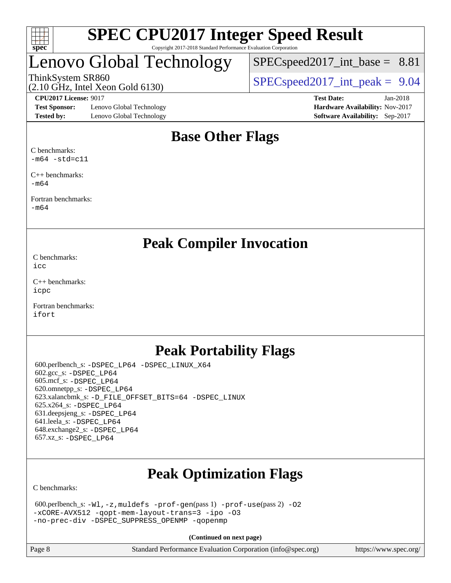

# Lenovo Global Technology

 $SPECspeed2017\_int\_base = 8.81$ 

(2.10 GHz, Intel Xeon Gold 6130)

ThinkSystem SR860<br>  $SPEC speed2017$  int\_peak = 9.04

**[Test Sponsor:](http://www.spec.org/auto/cpu2017/Docs/result-fields.html#TestSponsor)** Lenovo Global Technology **[Hardware Availability:](http://www.spec.org/auto/cpu2017/Docs/result-fields.html#HardwareAvailability)** Nov-2017 **[Tested by:](http://www.spec.org/auto/cpu2017/Docs/result-fields.html#Testedby)** Lenovo Global Technology **[Software Availability:](http://www.spec.org/auto/cpu2017/Docs/result-fields.html#SoftwareAvailability)** Sep-2017

**[CPU2017 License:](http://www.spec.org/auto/cpu2017/Docs/result-fields.html#CPU2017License)** 9017 **[Test Date:](http://www.spec.org/auto/cpu2017/Docs/result-fields.html#TestDate)** Jan-2018

# **[Base Other Flags](http://www.spec.org/auto/cpu2017/Docs/result-fields.html#BaseOtherFlags)**

[C benchmarks](http://www.spec.org/auto/cpu2017/Docs/result-fields.html#Cbenchmarks):  $-m64$   $-std=cl1$ 

[C++ benchmarks:](http://www.spec.org/auto/cpu2017/Docs/result-fields.html#CXXbenchmarks) [-m64](http://www.spec.org/cpu2017/results/res2018q1/cpu2017-20180122-03012.flags.html#user_CXXbase_intel_intel64_18.0_af43caccfc8ded86e7699f2159af6efc7655f51387b94da716254467f3c01020a5059329e2569e4053f409e7c9202a7efc638f7a6d1ffb3f52dea4a3e31d82ab)

[Fortran benchmarks](http://www.spec.org/auto/cpu2017/Docs/result-fields.html#Fortranbenchmarks): [-m64](http://www.spec.org/cpu2017/results/res2018q1/cpu2017-20180122-03012.flags.html#user_FCbase_intel_intel64_18.0_af43caccfc8ded86e7699f2159af6efc7655f51387b94da716254467f3c01020a5059329e2569e4053f409e7c9202a7efc638f7a6d1ffb3f52dea4a3e31d82ab)

**[Peak Compiler Invocation](http://www.spec.org/auto/cpu2017/Docs/result-fields.html#PeakCompilerInvocation)**

[C benchmarks](http://www.spec.org/auto/cpu2017/Docs/result-fields.html#Cbenchmarks): [icc](http://www.spec.org/cpu2017/results/res2018q1/cpu2017-20180122-03012.flags.html#user_CCpeak_intel_icc_18.0_66fc1ee009f7361af1fbd72ca7dcefbb700085f36577c54f309893dd4ec40d12360134090235512931783d35fd58c0460139e722d5067c5574d8eaf2b3e37e92)

[C++ benchmarks:](http://www.spec.org/auto/cpu2017/Docs/result-fields.html#CXXbenchmarks) [icpc](http://www.spec.org/cpu2017/results/res2018q1/cpu2017-20180122-03012.flags.html#user_CXXpeak_intel_icpc_18.0_c510b6838c7f56d33e37e94d029a35b4a7bccf4766a728ee175e80a419847e808290a9b78be685c44ab727ea267ec2f070ec5dc83b407c0218cded6866a35d07)

[Fortran benchmarks](http://www.spec.org/auto/cpu2017/Docs/result-fields.html#Fortranbenchmarks): [ifort](http://www.spec.org/cpu2017/results/res2018q1/cpu2017-20180122-03012.flags.html#user_FCpeak_intel_ifort_18.0_8111460550e3ca792625aed983ce982f94888b8b503583aa7ba2b8303487b4d8a21a13e7191a45c5fd58ff318f48f9492884d4413fa793fd88dd292cad7027ca)

# **[Peak Portability Flags](http://www.spec.org/auto/cpu2017/Docs/result-fields.html#PeakPortabilityFlags)**

 600.perlbench\_s: [-DSPEC\\_LP64](http://www.spec.org/cpu2017/results/res2018q1/cpu2017-20180122-03012.flags.html#b600.perlbench_s_peakPORTABILITY_DSPEC_LP64) [-DSPEC\\_LINUX\\_X64](http://www.spec.org/cpu2017/results/res2018q1/cpu2017-20180122-03012.flags.html#b600.perlbench_s_peakCPORTABILITY_DSPEC_LINUX_X64) 602.gcc\_s: [-DSPEC\\_LP64](http://www.spec.org/cpu2017/results/res2018q1/cpu2017-20180122-03012.flags.html#suite_peakPORTABILITY602_gcc_s_DSPEC_LP64) 605.mcf\_s: [-DSPEC\\_LP64](http://www.spec.org/cpu2017/results/res2018q1/cpu2017-20180122-03012.flags.html#suite_peakPORTABILITY605_mcf_s_DSPEC_LP64) 620.omnetpp\_s: [-DSPEC\\_LP64](http://www.spec.org/cpu2017/results/res2018q1/cpu2017-20180122-03012.flags.html#suite_peakPORTABILITY620_omnetpp_s_DSPEC_LP64) 623.xalancbmk\_s: [-D\\_FILE\\_OFFSET\\_BITS=64](http://www.spec.org/cpu2017/results/res2018q1/cpu2017-20180122-03012.flags.html#user_peakPORTABILITY623_xalancbmk_s_file_offset_bits_64_5ae949a99b284ddf4e95728d47cb0843d81b2eb0e18bdfe74bbf0f61d0b064f4bda2f10ea5eb90e1dcab0e84dbc592acfc5018bc955c18609f94ddb8d550002c) [-DSPEC\\_LINUX](http://www.spec.org/cpu2017/results/res2018q1/cpu2017-20180122-03012.flags.html#b623.xalancbmk_s_peakCXXPORTABILITY_DSPEC_LINUX) 625.x264\_s: [-DSPEC\\_LP64](http://www.spec.org/cpu2017/results/res2018q1/cpu2017-20180122-03012.flags.html#suite_peakPORTABILITY625_x264_s_DSPEC_LP64) 631.deepsjeng\_s: [-DSPEC\\_LP64](http://www.spec.org/cpu2017/results/res2018q1/cpu2017-20180122-03012.flags.html#suite_peakPORTABILITY631_deepsjeng_s_DSPEC_LP64) 641.leela\_s: [-DSPEC\\_LP64](http://www.spec.org/cpu2017/results/res2018q1/cpu2017-20180122-03012.flags.html#suite_peakPORTABILITY641_leela_s_DSPEC_LP64) 648.exchange2\_s: [-DSPEC\\_LP64](http://www.spec.org/cpu2017/results/res2018q1/cpu2017-20180122-03012.flags.html#suite_peakPORTABILITY648_exchange2_s_DSPEC_LP64) 657.xz\_s: [-DSPEC\\_LP64](http://www.spec.org/cpu2017/results/res2018q1/cpu2017-20180122-03012.flags.html#suite_peakPORTABILITY657_xz_s_DSPEC_LP64)

# **[Peak Optimization Flags](http://www.spec.org/auto/cpu2017/Docs/result-fields.html#PeakOptimizationFlags)**

[C benchmarks](http://www.spec.org/auto/cpu2017/Docs/result-fields.html#Cbenchmarks):

```
 600.perlbench_s: -Wl,-z,muldefs -prof-gen(pass 1) -prof-use(pass 2) -O2
-xCORE-AVX512 -qopt-mem-layout-trans=3 -ipo -O3
-no-prec-div -DSPEC_SUPPRESS_OPENMP -qopenmp
```
**(Continued on next page)**

| $\vert$ Page 8 | Standard Performance Evaluation Corporation (info@spec.org) |  |  | https://www.spec.org/ |  |
|----------------|-------------------------------------------------------------|--|--|-----------------------|--|
|----------------|-------------------------------------------------------------|--|--|-----------------------|--|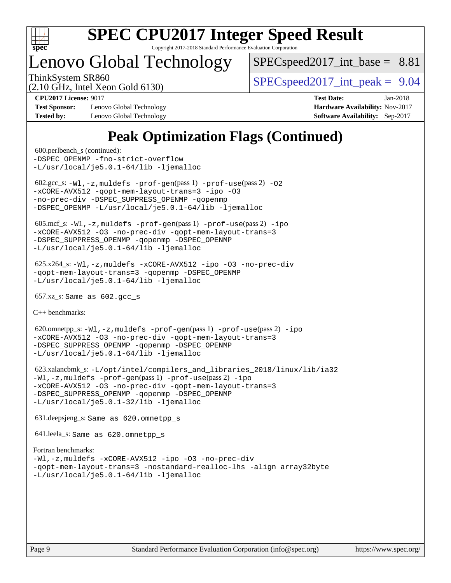

# Lenovo Global Technology

 $SPECspeed2017\_int\_base = 8.81$ 

(2.10 GHz, Intel Xeon Gold 6130)

ThinkSystem SR860  $SPEC speed2017$  int peak = 9.04

**[Test Sponsor:](http://www.spec.org/auto/cpu2017/Docs/result-fields.html#TestSponsor)** Lenovo Global Technology **[Hardware Availability:](http://www.spec.org/auto/cpu2017/Docs/result-fields.html#HardwareAvailability)** Nov-2017 **[Tested by:](http://www.spec.org/auto/cpu2017/Docs/result-fields.html#Testedby)** Lenovo Global Technology **[Software Availability:](http://www.spec.org/auto/cpu2017/Docs/result-fields.html#SoftwareAvailability)** Sep-2017

**[CPU2017 License:](http://www.spec.org/auto/cpu2017/Docs/result-fields.html#CPU2017License)** 9017 **[Test Date:](http://www.spec.org/auto/cpu2017/Docs/result-fields.html#TestDate)** Jan-2018

# **[Peak Optimization Flags \(Continued\)](http://www.spec.org/auto/cpu2017/Docs/result-fields.html#PeakOptimizationFlags)**

```
 600.perlbench_s (continued):
-fno-strict-overflow
-L/usr/local/je5.0.1-64/lib -ljemalloc
602.\text{sec}\_\text{s}: -W1, -z, \text{muldefs } -\text{prof}-\text{gen}(pass 1) -\text{prof}-\text{use}(pass 2) -02-xCORE-AVX512 -qopt-mem-layout-trans=3 -ipo -O3
-no-prec-div -DSPEC_SUPPRESS_OPENMP -qopenmp
-DSPEC_OPENMP -L/usr/local/je5.0.1-64/lib -ljemalloc
 605.mcf_s: -Wl,-z,muldefs -prof-gen(pass 1) -prof-use(pass 2) -ipo
-xCORE-AVX512 -O3 -no-prec-div -qopt-mem-layout-trans=3
-DSPEC_SUPPRESS_OPENMP -qopenmp -DSPEC_OPENMP
-L/usr/local/je5.0.1-64/lib -ljemalloc
 625.x264_s: -Wl,-z,muldefs -xCORE-AVX512 -ipo -O3 -no-prec-div
-qopt-mem-layout-trans=3 -qopenmp -DSPEC_OPENMP
-L/usr/local/je5.0.1-64/lib -ljemalloc
 657.xz_s: Same as 602.gcc_s
C++ benchmarks: 
 620.omnetpp_s: -Wl,-z,muldefs -prof-gen(pass 1) -prof-use(pass 2) -ipo
-xCORE-AVX512 -O3 -no-prec-div -qopt-mem-layout-trans=3
-DSPEC_SUPPRESS_OPENMP -qopenmp -DSPEC_OPENMP
-L/usr/local/je5.0.1-64/lib -ljemalloc
 623.xalancbmk_s: -L/opt/intel/compilers_and_libraries_2018/linux/lib/ia32
-Wl,-z,muldefs -prof-gen(pass 1) -prof-use(pass 2) -ipo
-xCORE-AVX512 -O3 -no-prec-div -qopt-mem-layout-trans=3
-DSPEC_SUPPRESS_OPENMP -qopenmp -DSPEC_OPENMP
-L/usr/local/je5.0.1-32/lib -ljemalloc
 631.deepsjeng_s: Same as 620.omnetpp_s
 641.leela_s: Same as 620.omnetpp_s
Fortran benchmarks: 
-Wl,-z,muldefs -xCORE-AVX512 -ipo -O3 -no-prec-div
-qopt-mem-layout-trans=3 -nostandard-realloc-lhs -align array32byte
-L/usr/local/je5.0.1-64/lib -ljemalloc
```